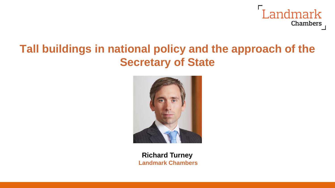

## **Tall buildings in national policy and the approach of the Secretary of State**



**Richard Turney Landmark Chambers**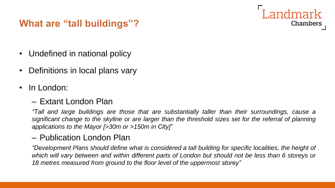### **What are "tall buildings"?**

- Undefined in national policy
- Definitions in local plans vary
- In London:

#### – Extant London Plan

*"Tall and large buildings are those that are substantially taller than their surroundings, cause a* significant change to the skyline or are larger than the threshold sizes set for the referral of planning *applications to the Mayor [>30m or >150m in City]"*

Landmark

Chambers

#### – Publication London Plan

*"Development Plans should define what is considered a tall building for specific localities, the height of* which will vary between and within different parts of London but should not be less than 6 storeys or *18 metres measured from ground to the floor level of the uppermost storey"*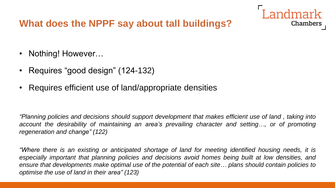#### **What does the NPPF say about tall buildings?**

- Nothing! However...
- Requires "good design" (124-132)
- Requires efficient use of land/appropriate densities

*"Planning policies and decisions should support development that makes efficient use of land , taking into account the desirability of maintaining an area's prevailing character and setting…, or of promoting regeneration and change" (122)*

ndmark

Chambers

*"Where there is an existing or anticipated shortage of land for meeting identified housing needs, it is especially important that planning policies and decisions avoid homes being built at low densities, and ensure that developments make optimal use of the potential of each site… plans should contain policies to optimise the use of land in their area" (123)*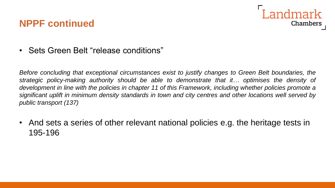### Landmark **Chambers**

#### **NPPF continued**

• Sets Green Belt "release conditions"

*Before concluding that exceptional circumstances exist to justify changes to Green Belt boundaries, the strategic policy-making authority should be able to demonstrate that it… optimises the density of* development in line with the policies in chapter 11 of this Framework, including whether policies promote a significant uplift in minimum density standards in town and city centres and other locations well served by *public transport (137)*

• And sets a series of other relevant national policies e.g. the heritage tests in 195-196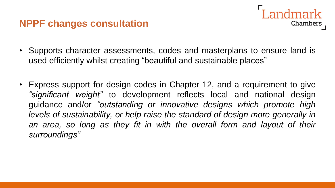#### **NPPF changes consultation**

- **Chambers**
- Supports character assessments, codes and masterplans to ensure land is used efficiently whilst creating "beautiful and sustainable places"
- Express support for design codes in Chapter 12, and a requirement to give *"significant weight"* to development reflects local and national design guidance and/or *"outstanding or innovative designs which promote high levels of sustainability, or help raise the standard of design more generally in an area, so long as they fit in with the overall form and layout of their surroundings"*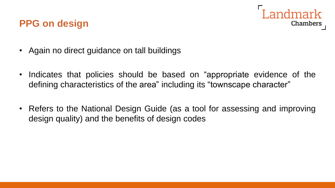# **Chambers**

• Again no direct guidance on tall buildings

**PPG on design**

- Indicates that policies should be based on "appropriate evidence of the defining characteristics of the area" including its "townscape character"
- Refers to the National Design Guide (as a tool for assessing and improving design quality) and the benefits of design codes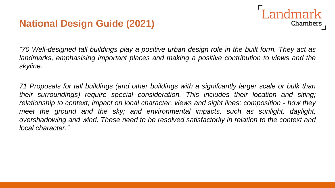### **National Design Guide (2021)**

*"70 Well-designed tall buildings play a positive urban design role in the built form. They act as landmarks, emphasising important places and making a positive contribution to views and the skyline.*

I andmark

**Chambers** 

*71 Proposals for tall buildings (and other buildings with a signifcantly larger scale or bulk than their surroundings) require special consideration. This includes their location and siting; relationship to context; impact on local character, views and sight lines; composition - how they meet the ground and the sky; and environmental impacts, such as sunlight, daylight, overshadowing and wind. These need to be resolved satisfactorily in relation to the context and local character."*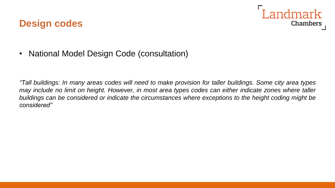#### **Design codes**



• National Model Design Code (consultation)

"Tall buildings: In many areas codes will need to make provision for taller buildings. Some city area types may include no limit on height. However, in most area types codes can either indicate zones where taller *buildings can be considered or indicate the circumstances where exceptions to the height coding might be considered"*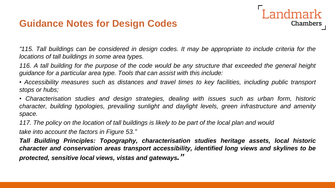#### **Guidance Notes for Design Codes**

"115. Tall buildings can be considered in design codes. It may be appropriate to include criteria for the *locations of tall buildings in some area types.*

**Landmark** 

**Chambers** 

116. A tall building for the purpose of the code would be any structure that exceeded the general height *guidance for a particular area type. Tools that can assist with this include:*

*• Accessibility measures such as distances and travel times to key facilities, including public transport stops or hubs;*

*• Characterisation studies and design strategies, dealing with issues such as urban form, historic character, building typologies, prevailing sunlight and daylight levels, green infrastructure and amenity space.*

117. The policy on the location of tall buildings is likely to be part of the local plan and would

*take into account the factors in Figure 53."*

*Tall Building Principles: Topography, characterisation studies heritage assets, local historic character and conservation areas transport accessibility, identified long views and skylines to be protected, sensitive local views, vistas and gateways."*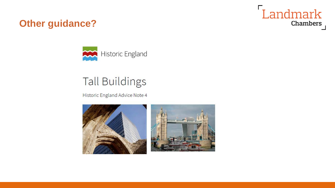### **Other guidance?**



# **Tall Buildings**

Historic England Advice Note 4





Landmark

**Chambers**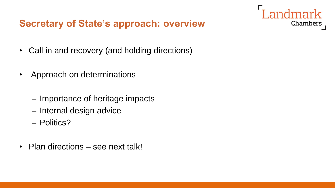#### **Secretary of State's approach: overview**

andmark

Chambers

- Call in and recovery (and holding directions)
- Approach on determinations
	- Importance of heritage impacts
	- Internal design advice
	- Politics?
- Plan directions see next talk!